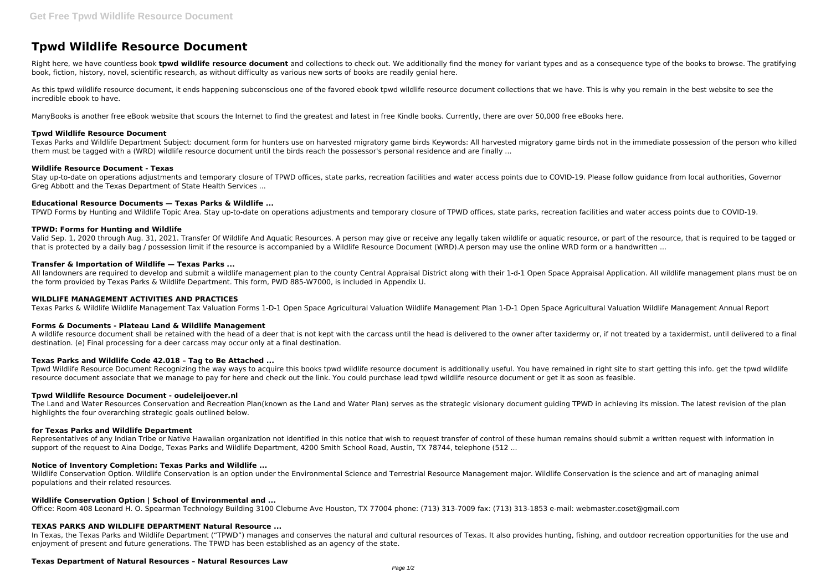# **Tpwd Wildlife Resource Document**

Right here, we have countless book **tpwd wildlife resource document** and collections to check out. We additionally find the money for variant types and as a consequence type of the books to browse. The gratifying book, fiction, history, novel, scientific research, as without difficulty as various new sorts of books are readily genial here.

As this tpwd wildlife resource document, it ends happening subconscious one of the favored ebook tpwd wildlife resource document collections that we have. This is why you remain in the best website to see the incredible ebook to have.

ManyBooks is another free eBook website that scours the Internet to find the greatest and latest in free Kindle books. Currently, there are over 50,000 free eBooks here.

## **Tpwd Wildlife Resource Document**

Texas Parks and Wildlife Department Subject: document form for hunters use on harvested migratory game birds Keywords: All harvested migratory game birds not in the immediate possession of the person who killed them must be tagged with a (WRD) wildlife resource document until the birds reach the possessor's personal residence and are finally ...

Valid Sep. 1, 2020 through Aug. 31, 2021. Transfer Of Wildlife And Aquatic Resources. A person may give or receive any legally taken wildlife or aquatic resource, or part of the resource, that is required to be tagged or that is protected by a daily bag / possession limit if the resource is accompanied by a Wildlife Resource Document (WRD).A person may use the online WRD form or a handwritten ...

#### **Wildlife Resource Document - Texas**

All landowners are required to develop and submit a wildlife management plan to the county Central Appraisal District along with their 1-d-1 Open Space Appraisal Application. All wildlife management plans must be on the form provided by Texas Parks & Wildlife Department. This form, PWD 885-W7000, is included in Appendix U.

Stay up-to-date on operations adjustments and temporary closure of TPWD offices, state parks, recreation facilities and water access points due to COVID-19. Please follow guidance from local authorities, Governor Greg Abbott and the Texas Department of State Health Services ...

## **Educational Resource Documents — Texas Parks & Wildlife ...**

A wildlife resource document shall be retained with the head of a deer that is not kept with the carcass until the head is delivered to the owner after taxidermy or, if not treated by a taxidermist, until delivered to a fi destination. (e) Final processing for a deer carcass may occur only at a final destination.

TPWD Forms by Hunting and Wildlife Topic Area. Stay up-to-date on operations adjustments and temporary closure of TPWD offices, state parks, recreation facilities and water access points due to COVID-19.

#### **TPWD: Forms for Hunting and Wildlife**

Representatives of any Indian Tribe or Native Hawaiian organization not identified in this notice that wish to request transfer of control of these human remains should submit a written request with information in support of the request to Aina Dodge, Texas Parks and Wildlife Department, 4200 Smith School Road, Austin, TX 78744, telephone (512 ...

#### **Transfer & Importation of Wildlife — Texas Parks ...**

# **WILDLIFE MANAGEMENT ACTIVITIES AND PRACTICES**

In Texas, the Texas Parks and Wildlife Department ("TPWD") manages and conserves the natural and cultural resources of Texas. It also provides hunting, fishing, and outdoor recreation opportunities for the use and enjoyment of present and future generations. The TPWD has been established as an agency of the state.

Texas Parks & Wildlife Wildlife Management Tax Valuation Forms 1-D-1 Open Space Agricultural Valuation Wildlife Management Plan 1-D-1 Open Space Agricultural Valuation Wildlife Management Annual Report

## **Forms & Documents - Plateau Land & Wildlife Management**

## **Texas Parks and Wildlife Code 42.018 – Tag to Be Attached ...**

Tpwd Wildlife Resource Document Recognizing the way ways to acquire this books tpwd wildlife resource document is additionally useful. You have remained in right site to start getting this info. get the tpwd wildlife resource document associate that we manage to pay for here and check out the link. You could purchase lead tpwd wildlife resource document or get it as soon as feasible.

## **Tpwd Wildlife Resource Document - oudeleijoever.nl**

The Land and Water Resources Conservation and Recreation Plan(known as the Land and Water Plan) serves as the strategic visionary document guiding TPWD in achieving its mission. The latest revision of the plan highlights the four overarching strategic goals outlined below.

## **for Texas Parks and Wildlife Department**

## **Notice of Inventory Completion: Texas Parks and Wildlife ...**

Wildlife Conservation Option. Wildlife Conservation is an option under the Environmental Science and Terrestrial Resource Management major. Wildlife Conservation is the science and art of managing animal populations and their related resources.

## **Wildlife Conservation Option | School of Environmental and ...**

Office: Room 408 Leonard H. O. Spearman Technology Building 3100 Cleburne Ave Houston, TX 77004 phone: (713) 313-7009 fax: (713) 313-1853 e-mail: webmaster.coset@gmail.com

## **TEXAS PARKS AND WILDLIFE DEPARTMENT Natural Resource ...**

# **Texas Department of Natural Resources – Natural Resources Law**